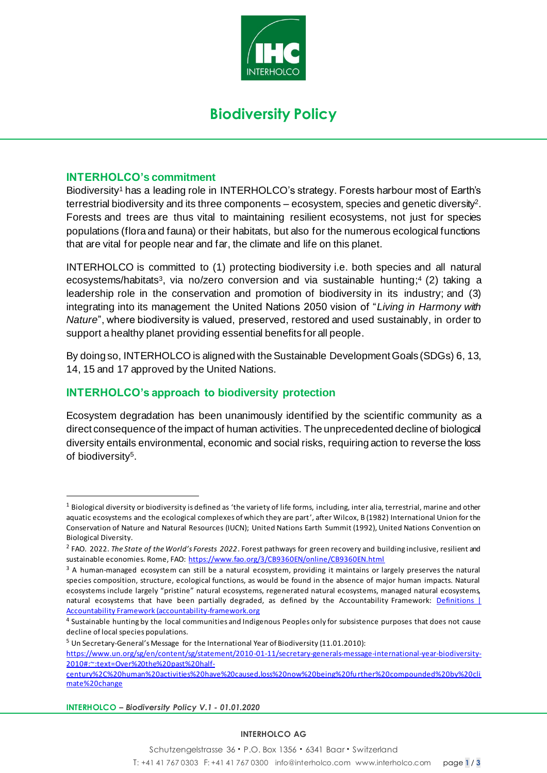

# **Biodiversity Policy**

### **INTERHOLCO's commitment**

Biodiversity<sup>1</sup> has a leading role in INTERHOLCO's strategy. Forests harbour most of Earth's terrestrial biodiversity and its three components – ecosystem, species and genetic diversity<sup>2</sup> . Forests and trees are thus vital to maintaining resilient ecosystems, not just for species populations (flora and fauna) or their habitats, but also for the numerous ecological functions that are vital for people near and far, the climate and life on this planet.

INTERHOLCO is committed to (1) protecting biodiversity i.e. both species and all natural ecosystems/habitats<sup>3</sup>, via no/zero conversion and via sustainable hunting;<sup>4</sup> (2) taking a leadership role in the conservation and promotion of biodiversity in its industry; and (3) integrating into its management the United Nations 2050 vision of "*Living in Harmony with Nature*", where biodiversity is valued, preserved, restored and used sustainably, in order to support a healthy planet providing essential benefits for all people.

By doing so, INTERHOLCO is aligned with the Sustainable Development Goals (SDGs) 6, 13, 14, 15 and 17 approved by the United Nations.

# **INTERHOLCO's approach to biodiversity protection**

Ecosystem degradation has been unanimously identified by the scientific community as a direct consequence of the impact of human activities. The unprecedented decline of biological diversity entails environmental, economic and social risks, requiring action to reverse the loss of biodiversity<sup>5</sup>.

<sup>5</sup> Un Secretary-General's Message for the International Year of Biodiversity (11.01.2010):

**INTERHOLCO** *– Biodiversity Policy V.1 - 01.01.2020*

#### **INTERHOLCO AG**

<sup>&</sup>lt;sup>1</sup> Biological diversity or biodiversity is defined as 'the variety of life forms, including, inter alia, terrestrial, marine and other aquatic ecosystems and the ecological complexes of which they are part', after Wilcox, B (1982) International Union for the Conservation of Nature and Natural Resources (IUCN); United Nations Earth Summit (1992), United Nations Convention on Biological Diversity.

<sup>2</sup> FAO. 2022. *The State of the World's Forests 2022*. Forest pathways for green recovery and building inclusive, resilient and sustainable economies. Rome, FAO: https://www.fao.org/3/CB9360EN/online/CB9360EN.html

 $3$  A human-managed ecosystem can still be a natural ecosystem, providing it maintains or largely preserves the natural species composition, structure, ecological functions, as would be found in the absence of major human impacts. Natural ecosystems include largely "pristine" natural ecosystems, regenerated natural ecosystems, managed natural ecosystems, natural ecosystems that have been partially degraded, as defined by the Accountability Framework: Definitions L Accountability Framework (accountability-framework.org

<sup>&</sup>lt;sup>4</sup> Sustainable hunting by the local communities and Indigenous Peoples only for subsistence purposes that does not cause decline of local species populations.

https://www.un.org/sg/en/content/sg/statement/2010-01-11/secretary-generals-message-international-year-biodiversity-2010#:~:text=Over%20the%20past%20half-

century%2C%20human%20activities%20have%20caused,loss%20now%20being%20fu rther%20compounded%20by%20cli mate%20change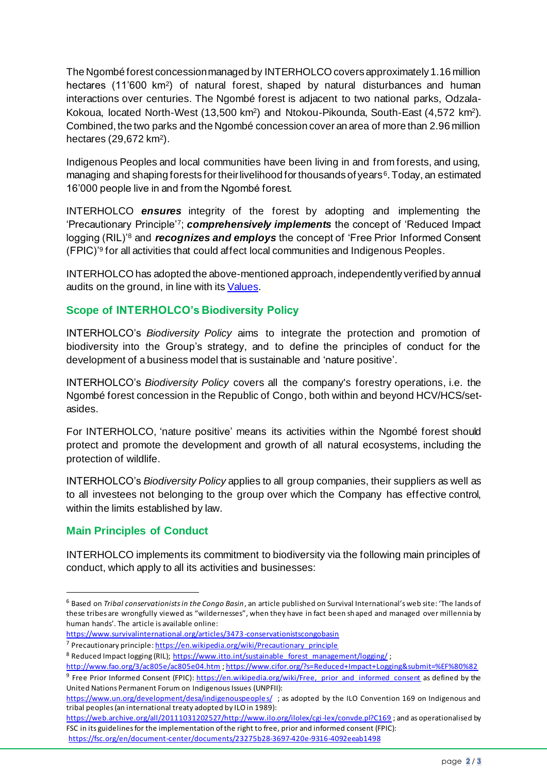The Ngombé forest concession managed by INTERHOLCO covers approximately 1.16 million hectares (11'600 km<sup>2</sup> ) of natural forest, shaped by natural disturbances and human interactions over centuries. The Ngombé forest is adjacent to two national parks, Odzala-Kokoua, located North-West (13,500 km<sup>2</sup>) and Ntokou-Pikounda, South-East (4,572 km<sup>2</sup>). Combined, the two parks and the Ngombé concession cover an area of more than 2.96 million hectares (29,672 km<sup>2</sup> ).

Indigenous Peoples and local communities have been living in and from forests, and using, managing and shaping forests for their livelihood for thousands of years<sup>6</sup>. Today, an estimated 16'000 people live in and from the Ngombé forest.

INTERHOLCO *ensures* integrity of the forest by adopting and implementing the 'Precautionary Principle'<sup>7</sup> ; *comprehensively implements* the concept of 'Reduced Impact logging (RIL)'<sup>8</sup> and *recognizes and employs* the concept of 'Free Prior Informed Consent (FPIC)'<sup>9</sup> for all activities that could affect local communities and Indigenous Peoples.

INTERHOLCO has adopted the above-mentioned approach, independently verified by annual audits on the ground, in line with it[s Values.](https://interholco.com/en/about-us/values)

## **Scope of INTERHOLCO's Biodiversity Policy**

INTERHOLCO's *Biodiversity Policy* aims to integrate the protection and promotion of biodiversity into the Group's strategy, and to define the principles of conduct for the development of a business model that is sustainable and 'nature positive'.

INTERHOLCO's *Biodiversity Policy* covers all the company's forestry operations, i.e. the Ngombé forest concession in the Republic of Congo, both within and beyond HCV/HCS/setasides.

For INTERHOLCO, 'nature positive' means its activities within the Ngombé forest should protect and promote the development and growth of all natural ecosystems, including the protection of wildlife.

INTERHOLCO's *Biodiversity Policy* applies to all group companies, their suppliers as well as to all investees not belonging to the group over which the Company has effective control, within the limits established by law.

## **Main Principles of Conduct**

INTERHOLCO implements its commitment to biodiversity via the following main principles of conduct, which apply to all its activities and businesses:

<sup>6</sup> Based on *Tribal conservationists in the Congo Basin*, an article published on Survival International's web site: 'The lands of these tribes are wrongfully viewed as "wildernesses", when they have in fact been shaped and managed over millennia by human hands'. The article is available online:

<https://www.survivalinternational.org/articles/3473-conservationistscongobasin>

<sup>&</sup>lt;sup>7</sup> Precautionary principle: [https://en.wikipedia.org/wiki/Precautionary\\_principle](https://en.wikipedia.org/wiki/Precautionary_principle)

<sup>&</sup>lt;sup>8</sup> Reduced Impact logging (RIL); [https://www.itto.int/sustainable\\_forest\\_management/logging/](https://www.itto.int/sustainable_forest_management/logging/) ;

<http://www.fao.org/3/ac805e/ac805e04.htm> [; https://www.cifor.org/?s=Reduced+Impact+Logging&submit=%EF%80%82](https://www.cifor.org/?s=Reduced+Impact+Logging&submit=%EF%80%82)

<sup>&</sup>lt;sup>9</sup> Free Prior Informed Consent (FPIC): https://en.wikipedia.org/wiki/Free, prior and informed consent as defined by the United Nations Permanent Forum on Indigenous Issues (UNPFII):

<https://www.un.org/development/desa/indigenouspeoples/> ; as adopted by the ILO Convention 169 on Indigenous and tribal peoples (an international treaty adopted by ILO in 1989):

[https://web.archive.org/all/20111031202527/http://www.ilo.org/ilolex/cgi-lex/convde.pl?C169](https://web.archive.org/all/20111031202527/http:/www.ilo.org/ilolex/cgi-lex/convde.pl?C169) ; and as operationalised by FSC in its guidelines for the implementation of the right to free, prior and informed consent (FPIC): <https://fsc.org/en/document-center/documents/23275b28-3697-420e-9316-4092eeab1498>